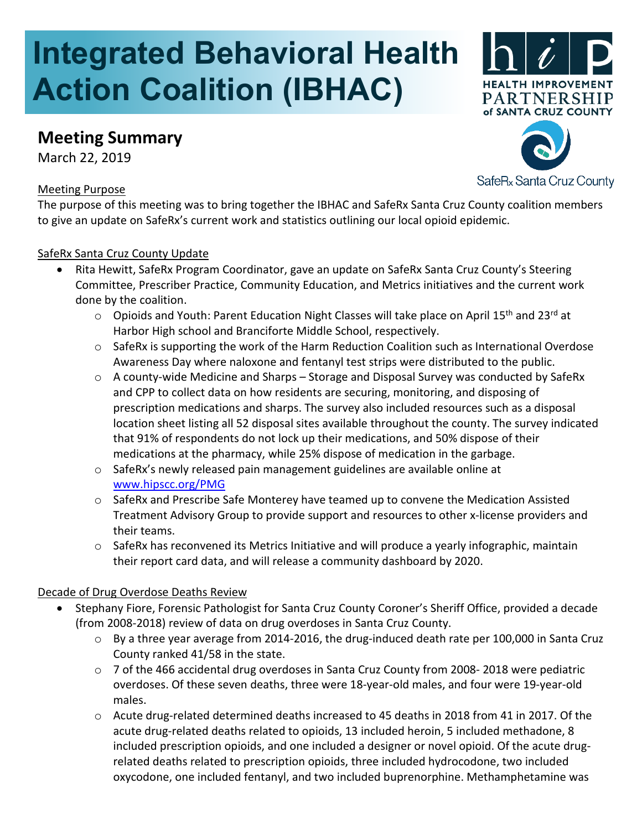# **Integrated Behavioral Health Action Coalition (IBHAC)**

## **Meeting Summary**

March 22, 2019

#### Meeting Purpose



SafeR<sub>x</sub> Santa Cruz County

The purpose of this meeting was to bring together the IBHAC and SafeRx Santa Cruz County coalition members to give an update on SafeRx's current work and statistics outlining our local opioid epidemic.

#### SafeRx Santa Cruz County Update

- Rita Hewitt, SafeRx Program Coordinator, gave an update on SafeRx Santa Cruz County's Steering Committee, Prescriber Practice, Community Education, and Metrics initiatives and the current work done by the coalition.
	- o Opioids and Youth: Parent Education Night Classes will take place on April 15<sup>th</sup> and 23<sup>rd</sup> at Harbor High school and Branciforte Middle School, respectively.
	- $\circ$  SafeRx is supporting the work of the Harm Reduction Coalition such as International Overdose Awareness Day where naloxone and fentanyl test strips were distributed to the public.
	- $\circ$  A county-wide Medicine and Sharps Storage and Disposal Survey was conducted by SafeRx and CPP to collect data on how residents are securing, monitoring, and disposing of prescription medications and sharps. The survey also included resources such as a disposal location sheet listing all 52 disposal sites available throughout the county. The survey indicated that 91% of respondents do not lock up their medications, and 50% dispose of their medications at the pharmacy, while 25% dispose of medication in the garbage.
	- o SafeRx's newly released pain management guidelines are available online at [www.hipscc.org/PMG](http://www.hipscc.org/PMG)
	- o SafeRx and Prescribe Safe Monterey have teamed up to convene the Medication Assisted Treatment Advisory Group to provide support and resources to other x-license providers and their teams.
	- o SafeRx has reconvened its Metrics Initiative and will produce a yearly infographic, maintain their report card data, and will release a community dashboard by 2020.

#### Decade of Drug Overdose Deaths Review

- Stephany Fiore, Forensic Pathologist for Santa Cruz County Coroner's Sheriff Office, provided a decade (from 2008-2018) review of data on drug overdoses in Santa Cruz County.
	- o By a three year average from 2014-2016, the drug-induced death rate per 100,000 in Santa Cruz County ranked 41/58 in the state.
	- $\circ$  7 of the 466 accidental drug overdoses in Santa Cruz County from 2008-2018 were pediatric overdoses. Of these seven deaths, three were 18-year-old males, and four were 19-year-old males.
	- o Acute drug-related determined deaths increased to 45 deaths in 2018 from 41 in 2017. Of the acute drug-related deaths related to opioids, 13 included heroin, 5 included methadone, 8 included prescription opioids, and one included a designer or novel opioid. Of the acute drugrelated deaths related to prescription opioids, three included hydrocodone, two included oxycodone, one included fentanyl, and two included buprenorphine. Methamphetamine was